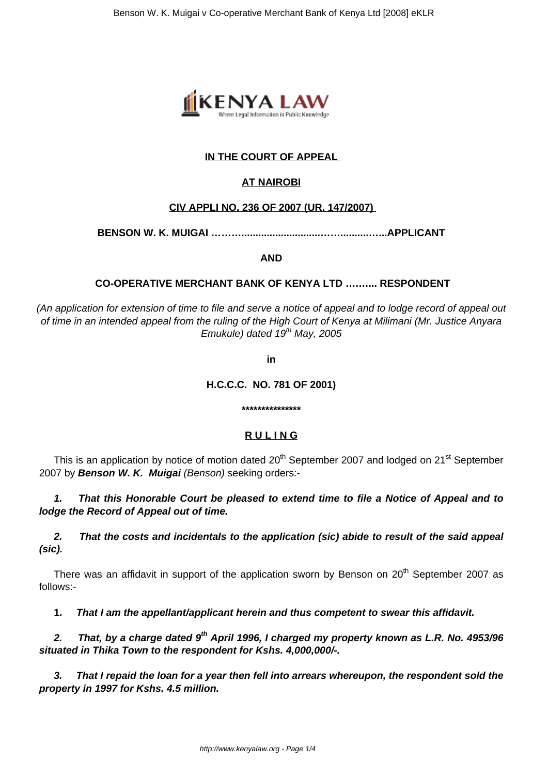

# **IN THE COURT OF APPEAL**

# **AT NAIROBI**

## **CIV APPLI NO. 236 OF 2007 (UR. 147/2007)**

**BENSON W. K. MUIGAI ………............................……..........…...APPLICANT**

**AND**

## **CO-OPERATIVE MERCHANT BANK OF KENYA LTD ….…... RESPONDENT**

(An application for extension of time to file and serve a notice of appeal and to lodge record of appeal out of time in an intended appeal from the ruling of the High Court of Kenya at Milimani (Mr. Justice Anyara Emukule) dated  $19^{th}$  May, 2005

**in**

## **H.C.C.C. NO. 781 OF 2001)**

#### **\*\*\*\*\*\*\*\*\*\*\*\*\*\*\***

# **R U L I N G**

This is an application by notice of motion dated 20<sup>th</sup> September 2007 and lodged on 21<sup>st</sup> September 2007 by **Benson W. K. Muigai** (Benson) seeking orders:-

**1. That this Honorable Court be pleased to extend time to file a Notice of Appeal and to lodge the Record of Appeal out of time.**

**2. That the costs and incidentals to the application (sic) abide to result of the said appeal (sic).**

There was an affidavit in support of the application sworn by Benson on  $20<sup>th</sup>$  September 2007 as follows:-

**1. That I am the appellant/applicant herein and thus competent to swear this affidavit.**

**2. That, by a charge dated 9th April 1996, I charged my property known as L.R. No. 4953/96 situated in Thika Town to the respondent for Kshs. 4,000,000/-.**

**3. That I repaid the loan for a year then fell into arrears whereupon, the respondent sold the property in 1997 for Kshs. 4.5 million.**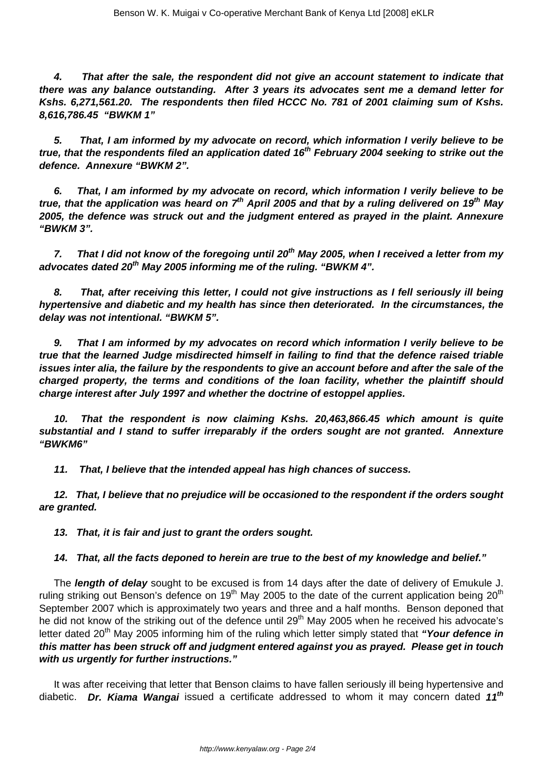**4. That after the sale, the respondent did not give an account statement to indicate that there was any balance outstanding. After 3 years its advocates sent me a demand letter for Kshs. 6,271,561.20. The respondents then filed HCCC No. 781 of 2001 claiming sum of Kshs. 8,616,786.45 "BWKM 1"**

**5. That, I am informed by my advocate on record, which information I verily believe to be true, that the respondents filed an application dated 16th February 2004 seeking to strike out the defence. Annexure "BWKM 2".**

**6. That, I am informed by my advocate on record, which information I verily believe to be true, that the application was heard on 7th April 2005 and that by a ruling delivered on 19th May 2005, the defence was struck out and the judgment entered as prayed in the plaint. Annexure "BWKM 3".**

**7. That I did not know of the foregoing until 20th May 2005, when I received a letter from my advocates dated 20th May 2005 informing me of the ruling. "BWKM 4".**

**8. That, after receiving this letter, I could not give instructions as I fell seriously ill being hypertensive and diabetic and my health has since then deteriorated. In the circumstances, the delay was not intentional. "BWKM 5".**

**9. That I am informed by my advocates on record which information I verily believe to be true that the learned Judge misdirected himself in failing to find that the defence raised triable issues inter alia, the failure by the respondents to give an account before and after the sale of the charged property, the terms and conditions of the loan facility, whether the plaintiff should charge interest after July 1997 and whether the doctrine of estoppel applies.**

**10. That the respondent is now claiming Kshs. 20,463,866.45 which amount is quite substantial and I stand to suffer irreparably if the orders sought are not granted. Annexture "BWKM6"**

**11. That, I believe that the intended appeal has high chances of success.**

**12. That, I believe that no prejudice will be occasioned to the respondent if the orders sought are granted.**

**13. That, it is fair and just to grant the orders sought.**

### **14. That, all the facts deponed to herein are true to the best of my knowledge and belief."**

The **length of delay** sought to be excused is from 14 days after the date of delivery of Emukule J. ruling striking out Benson's defence on 19<sup>th</sup> May 2005 to the date of the current application being 20<sup>th</sup> September 2007 which is approximately two years and three and a half months. Benson deponed that he did not know of the striking out of the defence until 29<sup>th</sup> May 2005 when he received his advocate's letter dated 20<sup>th</sup> May 2005 informing him of the ruling which letter simply stated that "Your defence in **this matter has been struck off and judgment entered against you as prayed. Please get in touch with us urgently for further instructions."**

It was after receiving that letter that Benson claims to have fallen seriously ill being hypertensive and diabetic. **Dr. Kiama Wangai** issued a certificate addressed to whom it may concern dated **11th**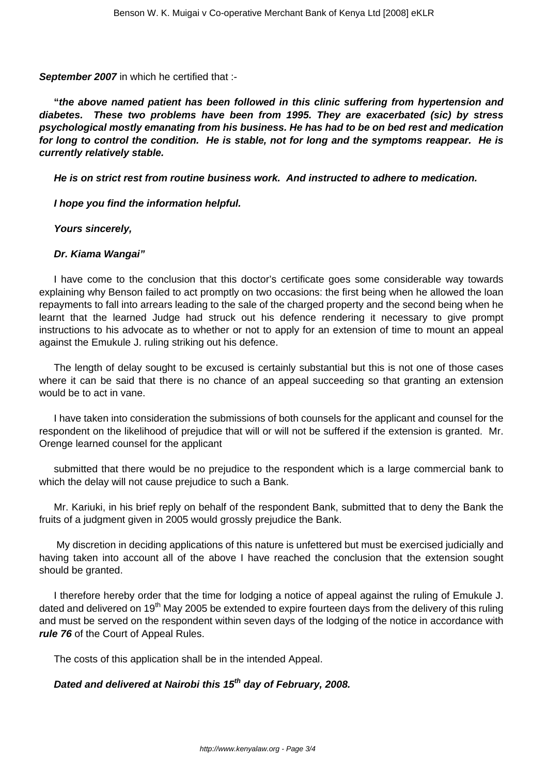**September 2007** in which he certified that :-

**"the above named patient has been followed in this clinic suffering from hypertension and diabetes. These two problems have been from 1995. They are exacerbated (sic) by stress psychological mostly emanating from his business. He has had to be on bed rest and medication for long to control the condition. He is stable, not for long and the symptoms reappear. He is currently relatively stable.**

**He is on strict rest from routine business work. And instructed to adhere to medication.**

**I hope you find the information helpful.**

**Yours sincerely,** 

### **Dr. Kiama Wangai"**

I have come to the conclusion that this doctor's certificate goes some considerable way towards explaining why Benson failed to act promptly on two occasions: the first being when he allowed the loan repayments to fall into arrears leading to the sale of the charged property and the second being when he learnt that the learned Judge had struck out his defence rendering it necessary to give prompt instructions to his advocate as to whether or not to apply for an extension of time to mount an appeal against the Emukule J. ruling striking out his defence.

The length of delay sought to be excused is certainly substantial but this is not one of those cases where it can be said that there is no chance of an appeal succeeding so that granting an extension would be to act in vane.

I have taken into consideration the submissions of both counsels for the applicant and counsel for the respondent on the likelihood of prejudice that will or will not be suffered if the extension is granted. Mr. Orenge learned counsel for the applicant

submitted that there would be no prejudice to the respondent which is a large commercial bank to which the delay will not cause prejudice to such a Bank.

Mr. Kariuki, in his brief reply on behalf of the respondent Bank, submitted that to deny the Bank the fruits of a judgment given in 2005 would grossly prejudice the Bank.

My discretion in deciding applications of this nature is unfettered but must be exercised judicially and having taken into account all of the above I have reached the conclusion that the extension sought should be granted.

I therefore hereby order that the time for lodging a notice of appeal against the ruling of Emukule J. dated and delivered on 19<sup>th</sup> May 2005 be extended to expire fourteen days from the delivery of this ruling and must be served on the respondent within seven days of the lodging of the notice in accordance with **rule 76** of the Court of Appeal Rules.

The costs of this application shall be in the intended Appeal.

# **Dated and delivered at Nairobi this 15th day of February, 2008.**